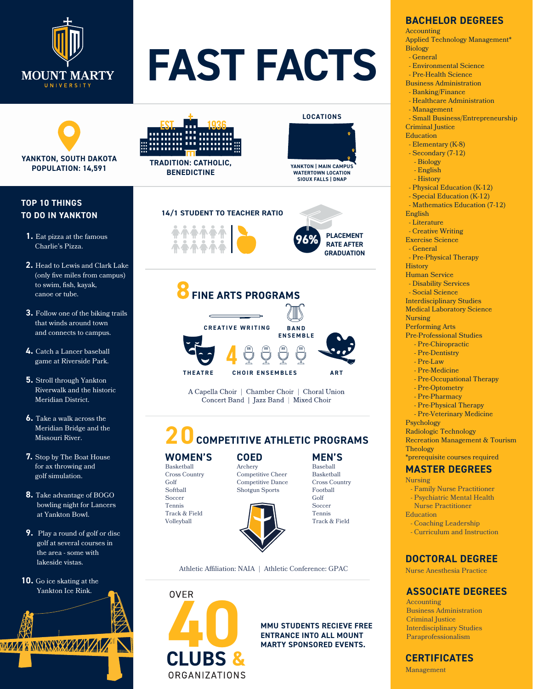

# **FAST FACTS**



#### **TOP 10 THINGS TO DO IN YANKTON**

- **1.** Eat pizza at the famous Charlie's Pizza.
- **2.** Head to Lewis and Clark Lake (only five miles from campus) to swim, fish, kayak, canoe or tube.
- **3.** Follow one of the biking trails that winds around town and connects to campus.
- **4.** Catch a Lancer baseball game at Riverside Park.
- **5.** Stroll through Yankton Riverwalk and the historic Meridian District.
- **6.** Take a walk across the Meridian Bridge and the Missouri River.
- **7.** Stop by The Boat House for ax throwing and golf simulation.
- **8.** Take advantage of BOGO bowling night for Lancers at Yankton Bowl.
- **9.** Play a round of golf or disc golf at several courses in the area - some with lakeside vistas.
- **10.** Go ice skating at the Yankton Ice Rink.

**MAZZ A NININI XXZZZZZZZZ** 



**TRADITION: CATHOLIC, BENEDICTINE**

## **YANKTON | MAIN CAMPUS WATERTOWN LOCATION SIOUX FALLS | DNAP**

**LOCATIONS**

**GRADUATION**





A Capella Choir | Chamber Choir | Choral Union Concert Band | Jazz Band | Mixed Choir

## **20 COMPETITIVE ATHLETIC PROGRAMS**

#### **WOMEN'S** Basketball

Golf Softball Soccer Tennis

Competitive Cheer Competitive Dance



Athletic Affiliation: NAIA | Athletic Conference: GPAC



### **ENTRANCE INTO ALL MOUNT MARTY SPONSORED EVENTS.**

**MEN'S** Baseball Basketball Cross Country Football

#### **BACHELOR DEGREES**

Accounting

Applied Technology Management\* Biology

- General
- Environmental Science
- Pre-Health Science Business Administration
	- Banking/Finance
		- Healthcare Administration
		- Management
		-

 - Small Business/Entrepreneurship Criminal Justice

Education

- Elementary (K-8)
- Secondary (7-12)
- Biology

- English

- History
- Physical Education (K-12)
- Special Education (K-12)
- Mathematics Education (7-12)
- English

- Literature

- Creative Writing

Exercise Science

- General

- Pre-Physical Therapy

**History** 

Human Service

- Disability Services

- Social Science

Interdisciplinary Studies

Medical Laboratory Science

Nursing

Performing Arts

Pre-Professional Studies

- Pre-Chiropractic
- Pre-Dentistry - Pre-Law
- Pre-Medicine
- Pre-Occupational Therapy
- Pre-Optometry
- Pre-Pharmacy

- Pre-Physical Therapy

- Pre-Veterinary Medicine

Psychology

Radiologic Technology Recreation Management & Tourism

**Theology** \*prerequisite courses required

#### **MASTER DEGREES**

- Nursing
	- Family Nurse Practitioner
	- Psychiatric Mental Health

 Nurse Practitioner Education

 - Coaching Leadership - Curriculum and Instruction

#### **DOCTORAL DEGREE**

Nurse Anesthesia Practice

#### **ASSOCIATE DEGREES**

Accounting Business Administration Criminal Justice Interdisciplinary Studies Paraprofessionalism

#### **CERTIFICATES**

Management

Cross Country Archery

Shotgun Sports

**COED**

Golf **Soccer** Tennis Track & Field

Track & Field Volleyball